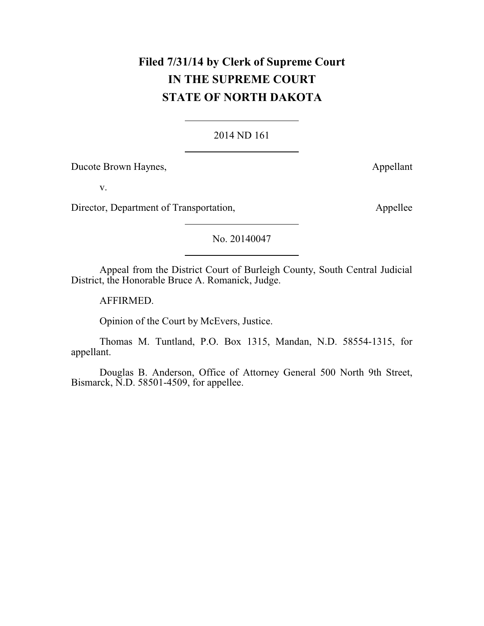# **Filed 7/31/14 by Clerk of Supreme Court IN THE SUPREME COURT STATE OF NORTH DAKOTA**

### 2014 ND 161

Ducote Brown Haynes,  $\qquad \qquad \text{Appendant}$ 

v.

Director, Department of Transportation, Appellee

No. 20140047

Appeal from the District Court of Burleigh County, South Central Judicial District, the Honorable Bruce A. Romanick, Judge.

AFFIRMED.

Opinion of the Court by McEvers, Justice.

Thomas M. Tuntland, P.O. Box 1315, Mandan, N.D. 58554-1315, for appellant.

Douglas B. Anderson, Office of Attorney General 500 North 9th Street, Bismarck, N.D. 58501-4509, for appellee.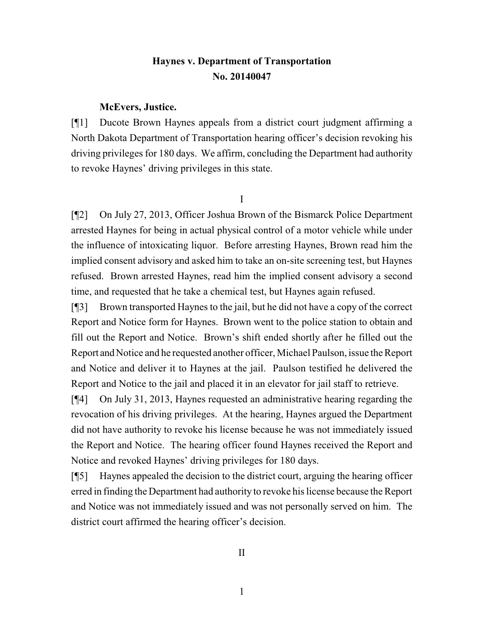# **Haynes v. Department of Transportation No. 20140047**

#### **McEvers, Justice.**

[¶1] Ducote Brown Haynes appeals from a district court judgment affirming a North Dakota Department of Transportation hearing officer's decision revoking his driving privileges for 180 days. We affirm, concluding the Department had authority to revoke Haynes' driving privileges in this state.

I

[¶2] On July 27, 2013, Officer Joshua Brown of the Bismarck Police Department arrested Haynes for being in actual physical control of a motor vehicle while under the influence of intoxicating liquor. Before arresting Haynes, Brown read him the implied consent advisory and asked him to take an on-site screening test, but Haynes refused. Brown arrested Haynes, read him the implied consent advisory a second time, and requested that he take a chemical test, but Haynes again refused.

[¶3] Brown transported Haynes to the jail, but he did not have a copy of the correct Report and Notice form for Haynes. Brown went to the police station to obtain and fill out the Report and Notice. Brown's shift ended shortly after he filled out the Report and Notice and he requested another officer, Michael Paulson, issue the Report and Notice and deliver it to Haynes at the jail. Paulson testified he delivered the Report and Notice to the jail and placed it in an elevator for jail staff to retrieve.

[¶4] On July 31, 2013, Haynes requested an administrative hearing regarding the revocation of his driving privileges. At the hearing, Haynes argued the Department did not have authority to revoke his license because he was not immediately issued the Report and Notice. The hearing officer found Haynes received the Report and Notice and revoked Haynes' driving privileges for 180 days.

[¶5] Haynes appealed the decision to the district court, arguing the hearing officer erred in finding the Department had authority to revoke his license because the Report and Notice was not immediately issued and was not personally served on him. The district court affirmed the hearing officer's decision.

1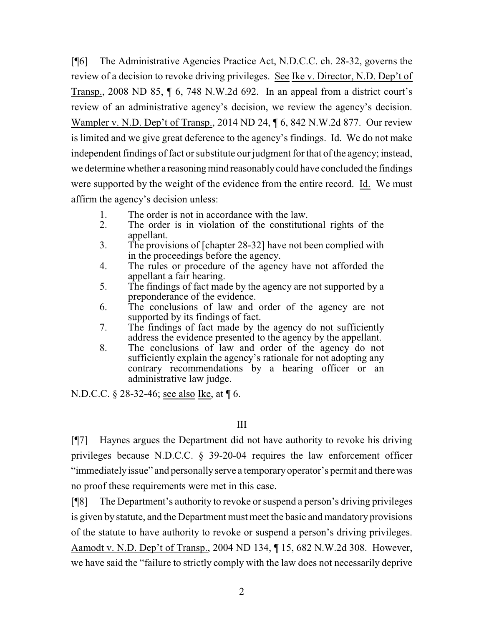[¶6] The Administrative Agencies Practice Act, N.D.C.C. ch. 28-32, governs the review of a decision to revoke driving privileges. See Ike v. Director, N.D. Dep't of Transp., 2008 ND 85, ¶ 6, 748 N.W.2d 692. In an appeal from a district court's review of an administrative agency's decision, we review the agency's decision. Wampler v. N.D. Dep't of Transp., 2014 ND 24,  $\sqrt{6}$ , 842 N.W.2d 877. Our review is limited and we give great deference to the agency's findings. Id. We do not make independent findings of fact or substitute our judgment for that of the agency; instead, we determine whether a reasoning mind reasonably could have concluded the findings were supported by the weight of the evidence from the entire record. Id. We must affirm the agency's decision unless:

- 1. The order is not in accordance with the law.<br>2. The order is in violation of the constitution
- The order is in violation of the constitutional rights of the appellant.
- 3. The provisions of [chapter 28-32] have not been complied with in the proceedings before the agency.
- 4. The rules or procedure of the agency have not afforded the appellant a fair hearing.
- 5. The findings of fact made by the agency are not supported by a preponderance of the evidence.
- 6. The conclusions of law and order of the agency are not supported by its findings of fact.
- 7. The findings of fact made by the agency do not sufficiently address the evidence presented to the agency by the appellant.
- 8. The conclusions of law and order of the agency do not sufficiently explain the agency's rationale for not adopting any contrary recommendations by a hearing officer or an administrative law judge.

N.D.C.C. § 28-32-46; see also Ike, at ¶ 6.

# III

[¶7] Haynes argues the Department did not have authority to revoke his driving privileges because N.D.C.C. § 39-20-04 requires the law enforcement officer "immediatelyissue" and personallyserve a temporaryoperator's permit and there was no proof these requirements were met in this case.

[¶8] The Department's authority to revoke or suspend a person's driving privileges is given by statute, and the Department must meet the basic and mandatory provisions of the statute to have authority to revoke or suspend a person's driving privileges. Aamodt v. N.D. Dep't of Transp., 2004 ND 134, ¶ 15, 682 N.W.2d 308. However, we have said the "failure to strictly comply with the law does not necessarily deprive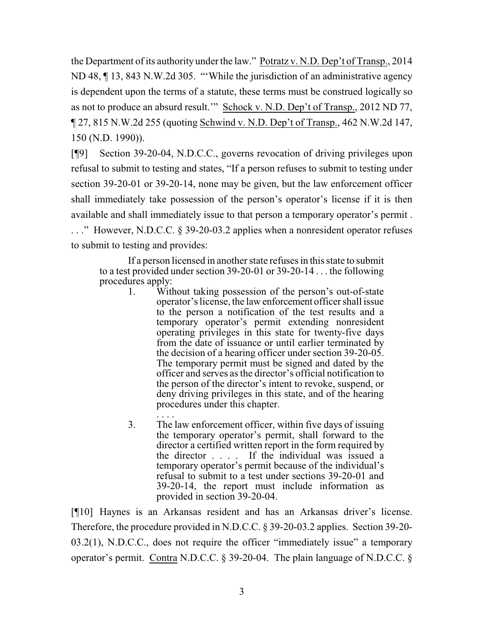the Department of its authority under the law." Potratz v. N.D. Dep't of Transp., 2014 ND 48, ¶ 13, 843 N.W.2d 305. "'While the jurisdiction of an administrative agency is dependent upon the terms of a statute, these terms must be construed logically so as not to produce an absurd result.'" Schock v. N.D. Dep't of Transp., 2012 ND 77, ¶ 27, 815 N.W.2d 255 (quoting Schwind v. N.D. Dep't of Transp., 462 N.W.2d 147, 150 (N.D. 1990)).

[¶9] Section 39-20-04, N.D.C.C., governs revocation of driving privileges upon refusal to submit to testing and states, "If a person refuses to submit to testing under section 39-20-01 or 39-20-14, none may be given, but the law enforcement officer shall immediately take possession of the person's operator's license if it is then available and shall immediately issue to that person a temporary operator's permit . . . ." However, N.D.C.C. § 39-20-03.2 applies when a nonresident operator refuses to submit to testing and provides:

If a person licensed in another state refuses in this state to submit to a test provided under section 39-20-01 or 39-20-14 . . . the following procedures apply:<br>With

- Without taking possession of the person's out-of-state operator's license, the law enforcement officer shall issue to the person a notification of the test results and a temporary operator's permit extending nonresident operating privileges in this state for twenty-five days from the date of issuance or until earlier terminated by the decision of a hearing officer under section 39-20-05. The temporary permit must be signed and dated by the officer and serves as the director's official notification to the person of the director's intent to revoke, suspend, or deny driving privileges in this state, and of the hearing procedures under this chapter.
- .<br>. . . . 3. The law enforcement officer, within five days of issuing the temporary operator's permit, shall forward to the director a certified written report in the form required by the director . . . . If the individual was issued a temporary operator's permit because of the individual's refusal to submit to a test under sections 39-20-01 and 39-20-14, the report must include information as provided in section 39-20-04.

[¶10] Haynes is an Arkansas resident and has an Arkansas driver's license. Therefore, the procedure provided in N.D.C.C. § 39-20-03.2 applies. Section 39-20- 03.2(1), N.D.C.C., does not require the officer "immediately issue" a temporary operator's permit. Contra N.D.C.C. § 39-20-04. The plain language of N.D.C.C. §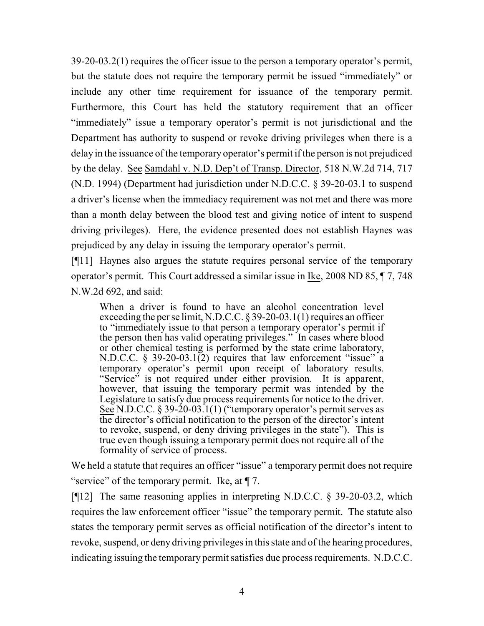39-20-03.2(1) requires the officer issue to the person a temporary operator's permit, but the statute does not require the temporary permit be issued "immediately" or include any other time requirement for issuance of the temporary permit. Furthermore, this Court has held the statutory requirement that an officer "immediately" issue a temporary operator's permit is not jurisdictional and the Department has authority to suspend or revoke driving privileges when there is a delay in the issuance of the temporary operator's permit if the person is not prejudiced by the delay. See Samdahl v. N.D. Dep't of Transp. Director, 518 N.W.2d 714, 717 (N.D. 1994) (Department had jurisdiction under N.D.C.C. § 39-20-03.1 to suspend a driver's license when the immediacy requirement was not met and there was more than a month delay between the blood test and giving notice of intent to suspend driving privileges). Here, the evidence presented does not establish Haynes was prejudiced by any delay in issuing the temporary operator's permit.

[¶11] Haynes also argues the statute requires personal service of the temporary operator's permit. This Court addressed a similar issue in Ike, 2008 ND 85, ¶ 7, 748 N.W.2d 692, and said:

When a driver is found to have an alcohol concentration level exceeding the per se limit, N.D.C.C. § 39-20-03.1(1) requires an officer to "immediately issue to that person a temporary operator's permit if the person then has valid operating privileges." In cases where blood or other chemical testing is performed by the state crime laboratory, N.D.C.C. § 39-20-03.1(2) requires that law enforcement "issue" a temporary operator's permit upon receipt of laboratory results. "Service" is not required under either provision. It is apparent, however, that issuing the temporary permit was intended by the Legislature to satisfy due process requirements for notice to the driver. See N.D.C.C.  $\S 39-20-03.1(1)$  ("temporary operator's permit serves as the director's official notification to the person of the director's intent to revoke, suspend, or deny driving privileges in the state"). This is true even though issuing a temporary permit does not require all of the formality of service of process.

We held a statute that requires an officer "issue" a temporary permit does not require "service" of the temporary permit. Ike, at  $\P$  7.

[¶12] The same reasoning applies in interpreting N.D.C.C. § 39-20-03.2, which requires the law enforcement officer "issue" the temporary permit. The statute also states the temporary permit serves as official notification of the director's intent to revoke, suspend, or deny driving privileges in this state and of the hearing procedures, indicating issuing the temporary permit satisfies due process requirements. N.D.C.C.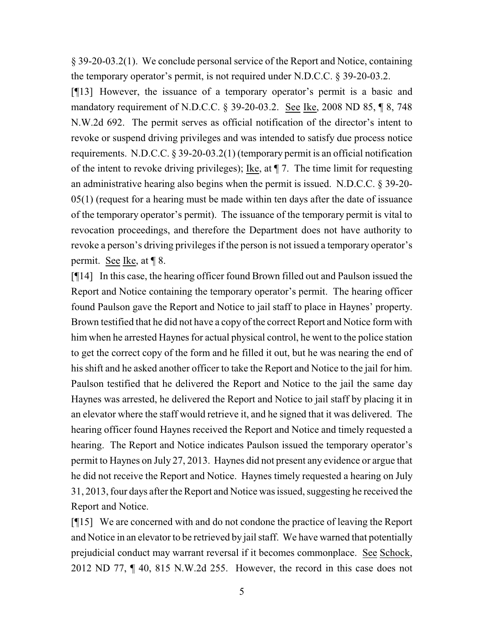§ 39-20-03.2(1). We conclude personal service of the Report and Notice, containing the temporary operator's permit, is not required under N.D.C.C. § 39-20-03.2.

[¶13] However, the issuance of a temporary operator's permit is a basic and mandatory requirement of N.D.C.C. § 39-20-03.2. See Ike, 2008 ND 85, ¶ 8, 748 N.W.2d 692. The permit serves as official notification of the director's intent to revoke or suspend driving privileges and was intended to satisfy due process notice requirements. N.D.C.C. § 39-20-03.2(1) (temporary permit is an official notification of the intent to revoke driving privileges); <u>Ike</u>, at  $\P$  7. The time limit for requesting an administrative hearing also begins when the permit is issued. N.D.C.C. § 39-20- 05(1) (request for a hearing must be made within ten days after the date of issuance of the temporary operator's permit). The issuance of the temporary permit is vital to revocation proceedings, and therefore the Department does not have authority to revoke a person's driving privileges if the person is not issued a temporary operator's permit. See Ike, at ¶ 8.

[¶14] In this case, the hearing officer found Brown filled out and Paulson issued the Report and Notice containing the temporary operator's permit. The hearing officer found Paulson gave the Report and Notice to jail staff to place in Haynes' property. Brown testified that he did not have a copy of the correct Report and Notice form with him when he arrested Haynes for actual physical control, he went to the police station to get the correct copy of the form and he filled it out, but he was nearing the end of his shift and he asked another officer to take the Report and Notice to the jail for him. Paulson testified that he delivered the Report and Notice to the jail the same day Haynes was arrested, he delivered the Report and Notice to jail staff by placing it in an elevator where the staff would retrieve it, and he signed that it was delivered. The hearing officer found Haynes received the Report and Notice and timely requested a hearing. The Report and Notice indicates Paulson issued the temporary operator's permit to Haynes on July 27, 2013. Haynes did not present any evidence or argue that he did not receive the Report and Notice. Haynes timely requested a hearing on July 31, 2013, four days after the Report and Notice was issued, suggesting he received the Report and Notice.

[¶15] We are concerned with and do not condone the practice of leaving the Report and Notice in an elevator to be retrieved by jail staff. We have warned that potentially prejudicial conduct may warrant reversal if it becomes commonplace. See Schock, 2012 ND 77, ¶ 40, 815 N.W.2d 255. However, the record in this case does not